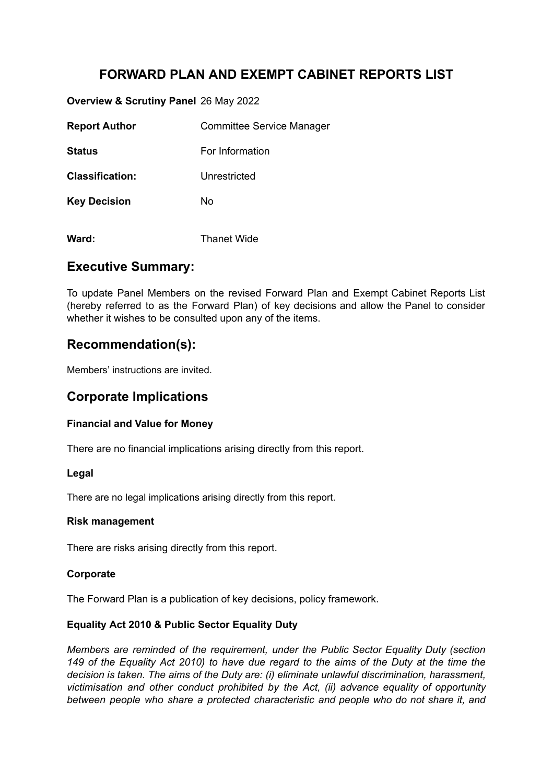# **FORWARD PLAN AND EXEMPT CABINET REPORTS LIST**

**Overview & Scrutiny Panel** 26 May 2022

**Ward:** Thanet Wide

| <b>Report Author</b>   | <b>Committee Service Manager</b> |
|------------------------|----------------------------------|
| Status                 | For Information                  |
| <b>Classification:</b> | Unrestricted                     |
| <b>Key Decision</b>    | No                               |
|                        |                                  |

### **Executive Summary:**

To update Panel Members on the revised Forward Plan and Exempt Cabinet Reports List (hereby referred to as the Forward Plan) of key decisions and allow the Panel to consider whether it wishes to be consulted upon any of the items.

## **Recommendation(s):**

Members' instructions are invited.

# **Corporate Implications**

### **Financial and Value for Money**

There are no financial implications arising directly from this report.

#### **Legal**

There are no legal implications arising directly from this report.

#### **Risk management**

There are risks arising directly from this report.

#### **Corporate**

The Forward Plan is a publication of key decisions, policy framework.

#### **Equality Act 2010 & Public Sector Equality Duty**

*Members are reminded of the requirement, under the Public Sector Equality Duty (section* 149 of the Equality Act 2010) to have due regard to the aims of the Duty at the time the *decision is taken. The aims of the Duty are: (i) eliminate unlawful discrimination, harassment, victimisation and other conduct prohibited by the Act, (ii) advance equality of opportunity between people who share a protected characteristic and people who do not share it, and*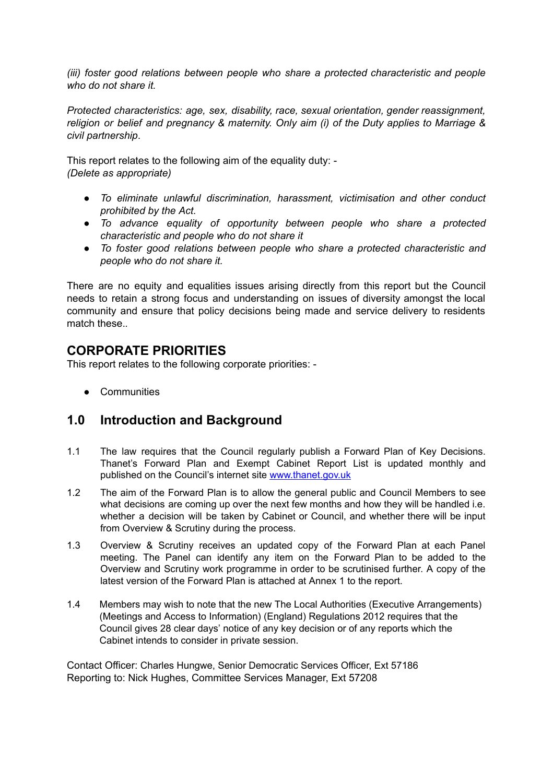*(iii) foster good relations between people who share a protected characteristic and people who do not share it.*

*Protected characteristics: age, sex, disability, race, sexual orientation, gender reassignment, religion or belief and pregnancy & maternity. Only aim (i) of the Duty applies to Marriage & civil partnership*.

This report relates to the following aim of the equality duty: - *(Delete as appropriate)*

- *● To eliminate unlawful discrimination, harassment, victimisation and other conduct prohibited by the Act.*
- *● To advance equality of opportunity between people who share a protected characteristic and people who do not share it*
- *● To foster good relations between people who share a protected characteristic and people who do not share it.*

There are no equity and equalities issues arising directly from this report but the Council needs to retain a strong focus and understanding on issues of diversity amongst the local community and ensure that policy decisions being made and service delivery to residents match these.*.*

## **CORPORATE PRIORITIES**

This report relates to the following corporate priorities: -

● Communities

## **1.0 Introduction and Background**

- 1.1 The law requires that the Council regularly publish a Forward Plan of Key Decisions. Thanet's Forward Plan and Exempt Cabinet Report List is updated monthly and published on the Council's internet site [www.thanet.gov.uk](http://www.thanet.gov.uk/)
- 1.2 The aim of the Forward Plan is to allow the general public and Council Members to see what decisions are coming up over the next few months and how they will be handled i.e. whether a decision will be taken by Cabinet or Council, and whether there will be input from Overview & Scrutiny during the process.
- 1.3 Overview & Scrutiny receives an updated copy of the Forward Plan at each Panel meeting. The Panel can identify any item on the Forward Plan to be added to the Overview and Scrutiny work programme in order to be scrutinised further. A copy of the latest version of the Forward Plan is attached at Annex 1 to the report.
- 1.4 Members may wish to note that the new The Local Authorities (Executive Arrangements) (Meetings and Access to Information) (England) Regulations 2012 requires that the Council gives 28 clear days' notice of any key decision or of any reports which the Cabinet intends to consider in private session.

Contact Officer: Charles Hungwe, Senior Democratic Services Officer, Ext 57186 Reporting to: Nick Hughes, Committee Services Manager, Ext 57208